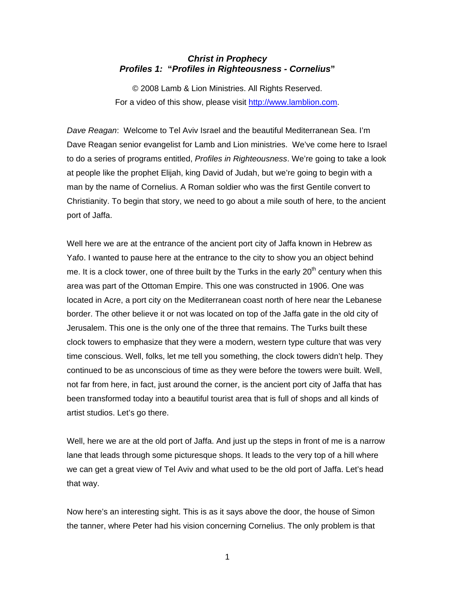## *Christ in Prophecy Profiles 1:* **"***Profiles in Righteousness - Cornelius***"**

© 2008 Lamb & Lion Ministries. All Rights Reserved. For a video of this show, please visit [http://www.lamblion.com.](http://www.lamblion.com/)

*Dave Reagan*: Welcome to Tel Aviv Israel and the beautiful Mediterranean Sea. I'm Dave Reagan senior evangelist for Lamb and Lion ministries. We've come here to Israel to do a series of programs entitled, *Profiles in Righteousness*. We're going to take a look at people like the prophet Elijah, king David of Judah, but we're going to begin with a man by the name of Cornelius. A Roman soldier who was the first Gentile convert to Christianity. To begin that story, we need to go about a mile south of here, to the ancient port of Jaffa.

Well here we are at the entrance of the ancient port city of Jaffa known in Hebrew as Yafo. I wanted to pause here at the entrance to the city to show you an object behind me. It is a clock tower, one of three built by the Turks in the early  $20<sup>th</sup>$  century when this area was part of the Ottoman Empire. This one was constructed in 1906. One was located in Acre, a port city on the Mediterranean coast north of here near the Lebanese border. The other believe it or not was located on top of the Jaffa gate in the old city of Jerusalem. This one is the only one of the three that remains. The Turks built these clock towers to emphasize that they were a modern, western type culture that was very time conscious. Well, folks, let me tell you something, the clock towers didn't help. They continued to be as unconscious of time as they were before the towers were built. Well, not far from here, in fact, just around the corner, is the ancient port city of Jaffa that has been transformed today into a beautiful tourist area that is full of shops and all kinds of artist studios. Let's go there.

Well, here we are at the old port of Jaffa. And just up the steps in front of me is a narrow lane that leads through some picturesque shops. It leads to the very top of a hill where we can get a great view of Tel Aviv and what used to be the old port of Jaffa. Let's head that way.

Now here's an interesting sight. This is as it says above the door, the house of Simon the tanner, where Peter had his vision concerning Cornelius. The only problem is that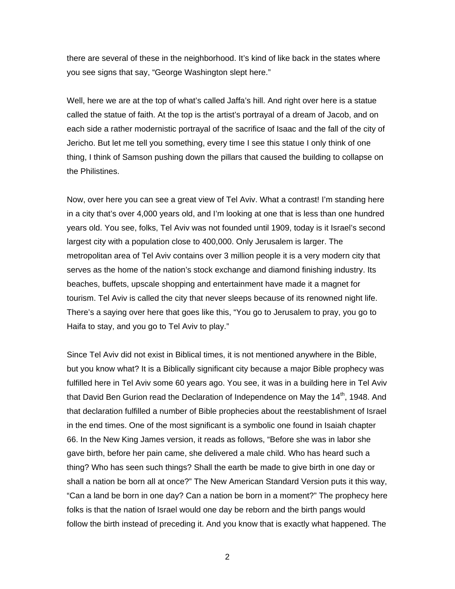there are several of these in the neighborhood. It's kind of like back in the states where you see signs that say, "George Washington slept here."

Well, here we are at the top of what's called Jaffa's hill. And right over here is a statue called the statue of faith. At the top is the artist's portrayal of a dream of Jacob, and on each side a rather modernistic portrayal of the sacrifice of Isaac and the fall of the city of Jericho. But let me tell you something, every time I see this statue I only think of one thing, I think of Samson pushing down the pillars that caused the building to collapse on the Philistines.

Now, over here you can see a great view of Tel Aviv. What a contrast! I'm standing here in a city that's over 4,000 years old, and I'm looking at one that is less than one hundred years old. You see, folks, Tel Aviv was not founded until 1909, today is it Israel's second largest city with a population close to 400,000. Only Jerusalem is larger. The metropolitan area of Tel Aviv contains over 3 million people it is a very modern city that serves as the home of the nation's stock exchange and diamond finishing industry. Its beaches, buffets, upscale shopping and entertainment have made it a magnet for tourism. Tel Aviv is called the city that never sleeps because of its renowned night life. There's a saying over here that goes like this, "You go to Jerusalem to pray, you go to Haifa to stay, and you go to Tel Aviv to play."

Since Tel Aviv did not exist in Biblical times, it is not mentioned anywhere in the Bible, but you know what? It is a Biblically significant city because a major Bible prophecy was fulfilled here in Tel Aviv some 60 years ago. You see, it was in a building here in Tel Aviv that David Ben Gurion read the Declaration of Independence on May the  $14<sup>th</sup>$ , 1948. And that declaration fulfilled a number of Bible prophecies about the reestablishment of Israel in the end times. One of the most significant is a symbolic one found in Isaiah chapter 66. In the New King James version, it reads as follows, "Before she was in labor she gave birth, before her pain came, she delivered a male child. Who has heard such a thing? Who has seen such things? Shall the earth be made to give birth in one day or shall a nation be born all at once?" The New American Standard Version puts it this way, "Can a land be born in one day? Can a nation be born in a moment?" The prophecy here folks is that the nation of Israel would one day be reborn and the birth pangs would follow the birth instead of preceding it. And you know that is exactly what happened. The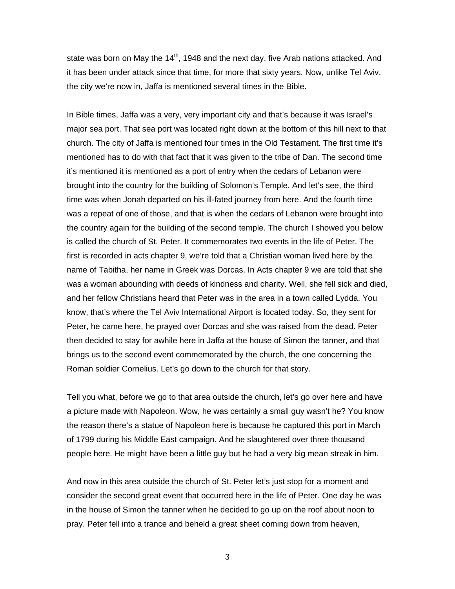state was born on May the  $14<sup>th</sup>$ , 1948 and the next day, five Arab nations attacked. And it has been under attack since that time, for more that sixty years. Now, unlike Tel Aviv, the city we're now in, Jaffa is mentioned several times in the Bible.

In Bible times, Jaffa was a very, very important city and that's because it was Israel's major sea port. That sea port was located right down at the bottom of this hill next to that church. The city of Jaffa is mentioned four times in the Old Testament. The first time it's mentioned has to do with that fact that it was given to the tribe of Dan. The second time it's mentioned it is mentioned as a port of entry when the cedars of Lebanon were brought into the country for the building of Solomon's Temple. And let's see, the third time was when Jonah departed on his ill-fated journey from here. And the fourth time was a repeat of one of those, and that is when the cedars of Lebanon were brought into the country again for the building of the second temple. The church I showed you below is called the church of St. Peter. It commemorates two events in the life of Peter. The first is recorded in acts chapter 9, we're told that a Christian woman lived here by the name of Tabitha, her name in Greek was Dorcas. In Acts chapter 9 we are told that she was a woman abounding with deeds of kindness and charity. Well, she fell sick and died, and her fellow Christians heard that Peter was in the area in a town called Lydda. You know, that's where the Tel Aviv International Airport is located today. So, they sent for Peter, he came here, he prayed over Dorcas and she was raised from the dead. Peter then decided to stay for awhile here in Jaffa at the house of Simon the tanner, and that brings us to the second event commemorated by the church, the one concerning the Roman soldier Cornelius. Let's go down to the church for that story.

Tell you what, before we go to that area outside the church, let's go over here and have a picture made with Napoleon. Wow, he was certainly a small guy wasn't he? You know the reason there's a statue of Napoleon here is because he captured this port in March of 1799 during his Middle East campaign. And he slaughtered over three thousand people here. He might have been a little guy but he had a very big mean streak in him.

And now in this area outside the church of St. Peter let's just stop for a moment and consider the second great event that occurred here in the life of Peter. One day he was in the house of Simon the tanner when he decided to go up on the roof about noon to pray. Peter fell into a trance and beheld a great sheet coming down from heaven,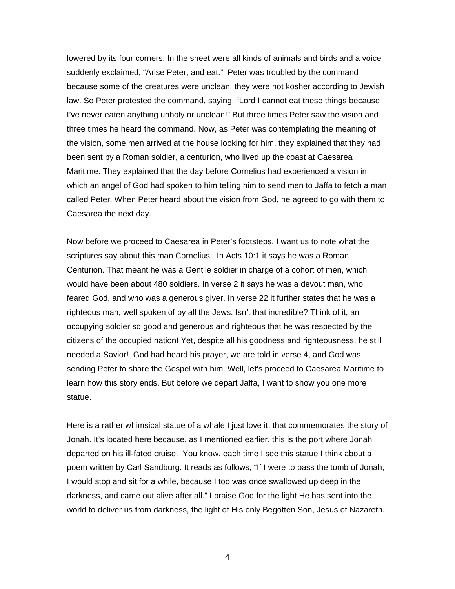lowered by its four corners. In the sheet were all kinds of animals and birds and a voice suddenly exclaimed, "Arise Peter, and eat." Peter was troubled by the command because some of the creatures were unclean, they were not kosher according to Jewish law. So Peter protested the command, saying, "Lord I cannot eat these things because I've never eaten anything unholy or unclean!" But three times Peter saw the vision and three times he heard the command. Now, as Peter was contemplating the meaning of the vision, some men arrived at the house looking for him, they explained that they had been sent by a Roman soldier, a centurion, who lived up the coast at Caesarea Maritime. They explained that the day before Cornelius had experienced a vision in which an angel of God had spoken to him telling him to send men to Jaffa to fetch a man called Peter. When Peter heard about the vision from God, he agreed to go with them to Caesarea the next day.

Now before we proceed to Caesarea in Peter's footsteps, I want us to note what the scriptures say about this man Cornelius. In Acts 10:1 it says he was a Roman Centurion. That meant he was a Gentile soldier in charge of a cohort of men, which would have been about 480 soldiers. In verse 2 it says he was a devout man, who feared God, and who was a generous giver. In verse 22 it further states that he was a righteous man, well spoken of by all the Jews. Isn't that incredible? Think of it, an occupying soldier so good and generous and righteous that he was respected by the citizens of the occupied nation! Yet, despite all his goodness and righteousness, he still needed a Savior! God had heard his prayer, we are told in verse 4, and God was sending Peter to share the Gospel with him. Well, let's proceed to Caesarea Maritime to learn how this story ends. But before we depart Jaffa, I want to show you one more statue.

Here is a rather whimsical statue of a whale I just love it, that commemorates the story of Jonah. It's located here because, as I mentioned earlier, this is the port where Jonah departed on his ill-fated cruise. You know, each time I see this statue I think about a poem written by Carl Sandburg. It reads as follows, "If I were to pass the tomb of Jonah, I would stop and sit for a while, because I too was once swallowed up deep in the darkness, and came out alive after all." I praise God for the light He has sent into the world to deliver us from darkness, the light of His only Begotten Son, Jesus of Nazareth.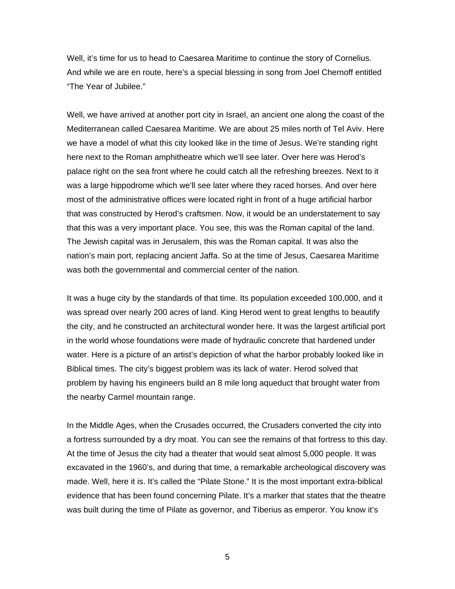Well, it's time for us to head to Caesarea Maritime to continue the story of Cornelius. And while we are en route, here's a special blessing in song from Joel Chernoff entitled "The Year of Jubilee."

Well, we have arrived at another port city in Israel, an ancient one along the coast of the Mediterranean called Caesarea Maritime. We are about 25 miles north of Tel Aviv. Here we have a model of what this city looked like in the time of Jesus. We're standing right here next to the Roman amphitheatre which we'll see later. Over here was Herod's palace right on the sea front where he could catch all the refreshing breezes. Next to it was a large hippodrome which we'll see later where they raced horses. And over here most of the administrative offices were located right in front of a huge artificial harbor that was constructed by Herod's craftsmen. Now, it would be an understatement to say that this was a very important place. You see, this was the Roman capital of the land. The Jewish capital was in Jerusalem, this was the Roman capital. It was also the nation's main port, replacing ancient Jaffa. So at the time of Jesus, Caesarea Maritime was both the governmental and commercial center of the nation.

It was a huge city by the standards of that time. Its population exceeded 100,000, and it was spread over nearly 200 acres of land. King Herod went to great lengths to beautify the city, and he constructed an architectural wonder here. It was the largest artificial port in the world whose foundations were made of hydraulic concrete that hardened under water. Here is a picture of an artist's depiction of what the harbor probably looked like in Biblical times. The city's biggest problem was its lack of water. Herod solved that problem by having his engineers build an 8 mile long aqueduct that brought water from the nearby Carmel mountain range.

In the Middle Ages, when the Crusades occurred, the Crusaders converted the city into a fortress surrounded by a dry moat. You can see the remains of that fortress to this day. At the time of Jesus the city had a theater that would seat almost 5,000 people. It was excavated in the 1960's, and during that time, a remarkable archeological discovery was made. Well, here it is. It's called the "Pilate Stone." It is the most important extra-biblical evidence that has been found concerning Pilate. It's a marker that states that the theatre was built during the time of Pilate as governor, and Tiberius as emperor. You know it's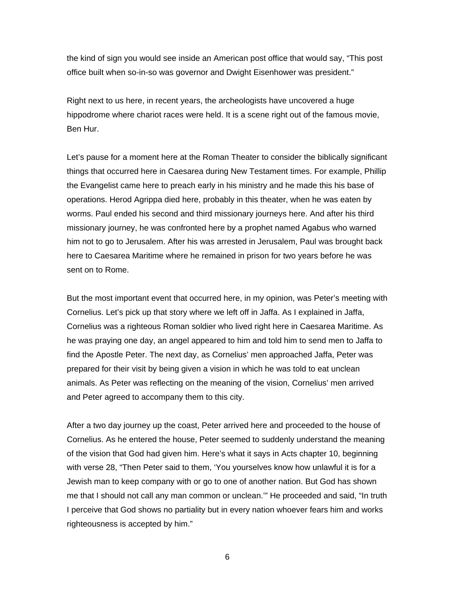the kind of sign you would see inside an American post office that would say, "This post office built when so-in-so was governor and Dwight Eisenhower was president."

Right next to us here, in recent years, the archeologists have uncovered a huge hippodrome where chariot races were held. It is a scene right out of the famous movie, Ben Hur.

Let's pause for a moment here at the Roman Theater to consider the biblically significant things that occurred here in Caesarea during New Testament times. For example, Phillip the Evangelist came here to preach early in his ministry and he made this his base of operations. Herod Agrippa died here, probably in this theater, when he was eaten by worms. Paul ended his second and third missionary journeys here. And after his third missionary journey, he was confronted here by a prophet named Agabus who warned him not to go to Jerusalem. After his was arrested in Jerusalem, Paul was brought back here to Caesarea Maritime where he remained in prison for two years before he was sent on to Rome.

But the most important event that occurred here, in my opinion, was Peter's meeting with Cornelius. Let's pick up that story where we left off in Jaffa. As I explained in Jaffa, Cornelius was a righteous Roman soldier who lived right here in Caesarea Maritime. As he was praying one day, an angel appeared to him and told him to send men to Jaffa to find the Apostle Peter. The next day, as Cornelius' men approached Jaffa, Peter was prepared for their visit by being given a vision in which he was told to eat unclean animals. As Peter was reflecting on the meaning of the vision, Cornelius' men arrived and Peter agreed to accompany them to this city.

After a two day journey up the coast, Peter arrived here and proceeded to the house of Cornelius. As he entered the house, Peter seemed to suddenly understand the meaning of the vision that God had given him. Here's what it says in Acts chapter 10, beginning with verse 28, "Then Peter said to them, 'You yourselves know how unlawful it is for a Jewish man to keep company with or go to one of another nation. But God has shown me that I should not call any man common or unclean.'" He proceeded and said, "In truth I perceive that God shows no partiality but in every nation whoever fears him and works righteousness is accepted by him."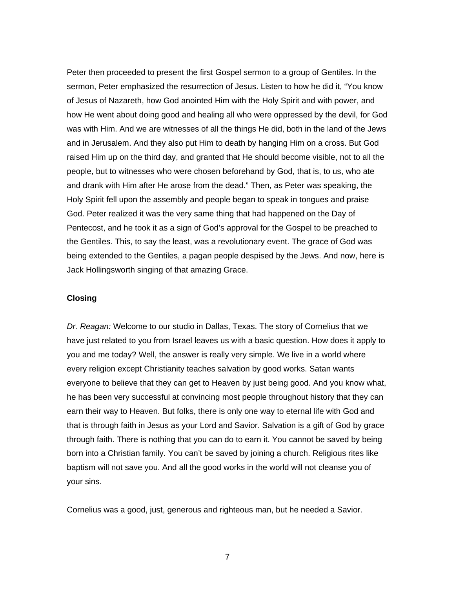Peter then proceeded to present the first Gospel sermon to a group of Gentiles. In the sermon, Peter emphasized the resurrection of Jesus. Listen to how he did it, "You know of Jesus of Nazareth, how God anointed Him with the Holy Spirit and with power, and how He went about doing good and healing all who were oppressed by the devil, for God was with Him. And we are witnesses of all the things He did, both in the land of the Jews and in Jerusalem. And they also put Him to death by hanging Him on a cross. But God raised Him up on the third day, and granted that He should become visible, not to all the people, but to witnesses who were chosen beforehand by God, that is, to us, who ate and drank with Him after He arose from the dead." Then, as Peter was speaking, the Holy Spirit fell upon the assembly and people began to speak in tongues and praise God. Peter realized it was the very same thing that had happened on the Day of Pentecost, and he took it as a sign of God's approval for the Gospel to be preached to the Gentiles. This, to say the least, was a revolutionary event. The grace of God was being extended to the Gentiles, a pagan people despised by the Jews. And now, here is Jack Hollingsworth singing of that amazing Grace.

## **Closing**

*Dr. Reagan:* Welcome to our studio in Dallas, Texas. The story of Cornelius that we have just related to you from Israel leaves us with a basic question. How does it apply to you and me today? Well, the answer is really very simple. We live in a world where every religion except Christianity teaches salvation by good works. Satan wants everyone to believe that they can get to Heaven by just being good. And you know what, he has been very successful at convincing most people throughout history that they can earn their way to Heaven. But folks, there is only one way to eternal life with God and that is through faith in Jesus as your Lord and Savior. Salvation is a gift of God by grace through faith. There is nothing that you can do to earn it. You cannot be saved by being born into a Christian family. You can't be saved by joining a church. Religious rites like baptism will not save you. And all the good works in the world will not cleanse you of your sins.

Cornelius was a good, just, generous and righteous man, but he needed a Savior.